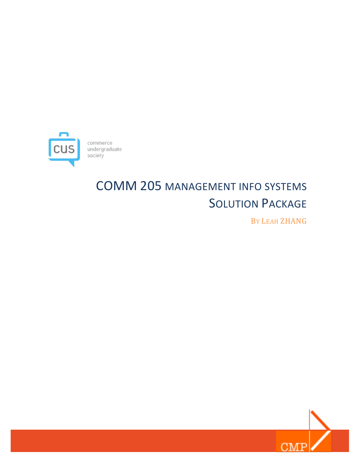

# COMM 205 MANAGEMENT INFO SYSTEMS **SOLUTION PACKAGE**

BY LEAH ZHANG

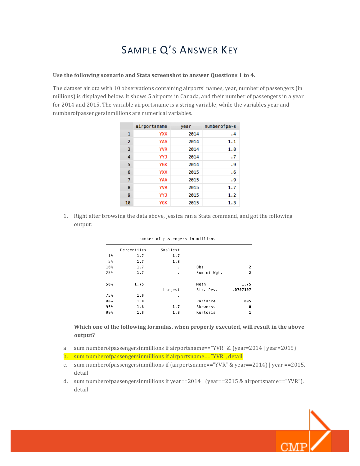## SAMPLE Q'S ANSWER KEY

#### Use the following scenario and Stata screenshot to answer Questions 1 to 4.

The dataset air.dta with 10 observations containing airports' names, year, number of passengers (in millions) is displayed below. It shows 5 airports in Canada, and their number of passengers in a year for 2014 and 2015. The variable airportsname is a string variable, while the variables year and numberofpassengersinmillions are numerical variables.

|                | airportsname | year | numberofpa~s |
|----------------|--------------|------|--------------|
| 1              | <b>YXX</b>   | 2014 | .4           |
| $\overline{2}$ | YAA          | 2014 | 1.1          |
| 3              | <b>YVR</b>   | 2014 | 1.8          |
| 4              | <b>YYJ</b>   | 2014 | $\cdot$ 7    |
| 5              | <b>YGK</b>   | 2014 | . 9          |
| 6              | <b>YXX</b>   | 2015 | .6           |
| $\overline{7}$ | <b>YAA</b>   | 2015 | . 9          |
| 8              | <b>YVR</b>   | 2015 | 1.7          |
| 9              | YYJ          | 2015 | 1.2          |
| 10             | <b>YGK</b>   | 2015 | 1.3          |

1. Right after browsing the data above, Jessica ran a Stata command, and got the following output: 

|       | Percentiles | Smallest |             |          |
|-------|-------------|----------|-------------|----------|
| $1\%$ | 1.7         | 1.7      |             |          |
| 5%    | 1.7         | 1.8      |             |          |
| 10%   | 1.7         | ٠        | Obs         | 2        |
| 25%   | 1.7         | ٠        | Sum of Wgt. | 2        |
| 50%   | 1.75        |          | Mean        | 1.75     |
|       |             | Largest  | Std. Dev.   | .0707107 |
| 75%   | 1.8         | ٠        |             |          |
| 90%   | 1.8         | ٠        | Variance    | .005     |
| 95%   | 1.8         | 1.7      | Skewness    | 0        |
| 99%   | 1.8         | 1.8      | Kurtosis    | 1        |
|       |             |          |             |          |

#### number of passengers in millions

Which one of the following formulas, when properly executed, will result in the above **output?**

- a. sum numberofpassengersinmillions if airportsname=="YVR" & (year=2014 | year=2015)
- b. sum numberofpassengersinmillions if airportsname=="YVR", detail
- c. sum numberof passengersinmillions if (airportsname=="YVR" & year==2014) | year ==2015, detail
- d. sum numberof passengersinmillions if  $year==2014$   $(year==2015 \& airportsname=="YVR")$ , detail

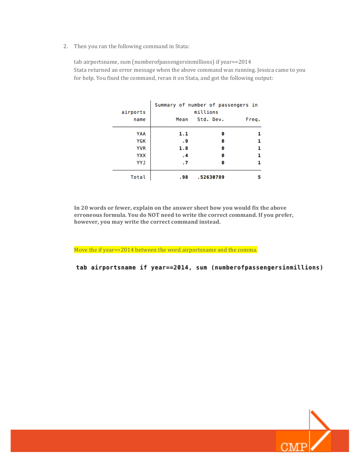2. Then you ran the following command in Stata:

tab airportsname, sum (numberofpassengersinmillions) if year==2014 Stata returned an error message when the above command was running. Jessica came to you for help. You fixed the command, reran it on Stata, and got the following output:

| airports   | Summary of number of passengers in<br>millions |           |       |
|------------|------------------------------------------------|-----------|-------|
| name       | Mean                                           | Std. Dev. | Freq. |
| YAA        | 1.1                                            | ø         |       |
| YGK        | . 9                                            | ø         | 1     |
| <b>YVR</b> | 1.8                                            | ø         | 1     |
| <b>YXX</b> | .4                                             | ø         | 1     |
| <b>YYJ</b> | $\cdot$ 7                                      | ø         |       |
| Total      | .98                                            | .52630789 |       |

In 20 words or fewer, explain on the answer sheet how you would fix the above erroneous formula. You do NOT need to write the correct command. If you prefer, however, you may write the correct command instead.

Move the if year==2014 between the word airportsname and the comma.

tab airportsname if year==2014, sum (numberofpassengersinmillions)

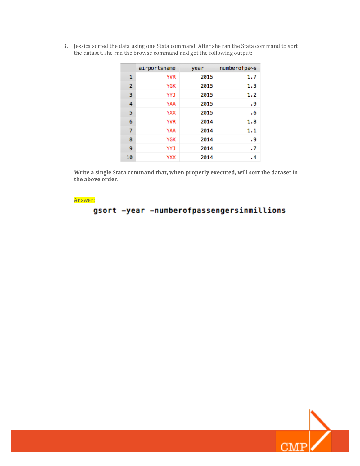|    | airportsname | year | numberofpa~s         |
|----|--------------|------|----------------------|
| 1  | <b>YVR</b>   | 2015 | 1.7                  |
| 2  | YGK          | 2015 | 1.3                  |
| 3  | <b>YYJ</b>   | 2015 | 1.2                  |
| 4  | YAA          | 2015 | . 9                  |
| 5  | <b>YXX</b>   | 2015 | . 6                  |
| 6  | <b>YVR</b>   | 2014 | 1.8                  |
| 7  | YAA          | 2014 | 1.1                  |
| 8  | YGK          | 2014 | . 9                  |
| 9  | <b>YYJ</b>   | 2014 | $\cdot$ .            |
| 10 | YXX          | 2014 | $\cdot$ <sup>4</sup> |

3. Jessica sorted the data using one Stata command. After she ran the Stata command to sort the dataset, she ran the browse command and got the following output:

Write a single Stata command that, when properly executed, will sort the dataset in the above order.

Answer:

#### gsort -year -numberofpassengersinmillions

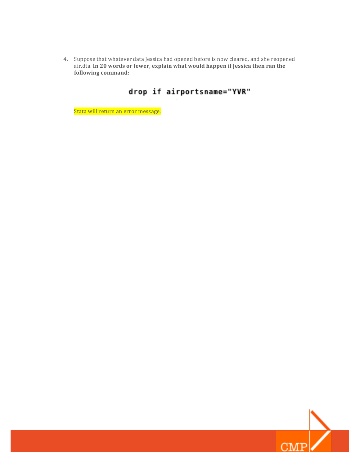4. Suppose that whatever data Jessica had opened before is now cleared, and she reopened air.dta. In 20 words or fewer, explain what would happen if Jessica then ran the following command:

### drop if airportsname="YVR"

Stata will return an error message.